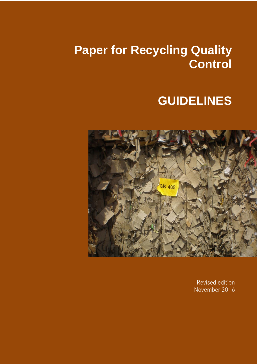# **Paper for Recycling Quality Control**

# **GUIDELINES**



Revised edition November 2016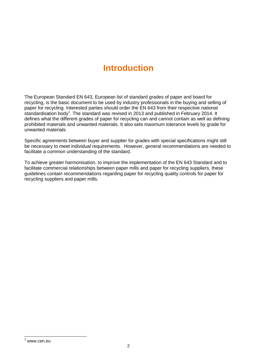# **Introduction**

The European Standard EN 643, European list of standard grades of paper and board for recycling, is the basic document to be used by industry professionals in the buying and selling of paper for recycling. Interested parties should order the EN 643 from their respective national standardisation body<sup>1</sup>. The standard was revised in 2013 and published in February 2014. It defines what the different grades of paper for recycling can and cannot contain as well as defining prohibited materials and unwanted materials. It also sets maximum tolerance levels by grade for unwanted materials.

Specific agreements between buyer and supplier for grades with special specifications might still be necessary to meet individual requirements. However, general recommendations are needed to facilitate a common understanding of the standard.

To achieve greater harmonisation, to improve the implementation of the EN 643 Standard and to facilitate commercial relationships between paper mills and paper for recycling suppliers, these guidelines contain recommendations regarding paper for recycling quality controls for paper for recycling suppliers and paper mills.

-

 $1$  www.cen.eu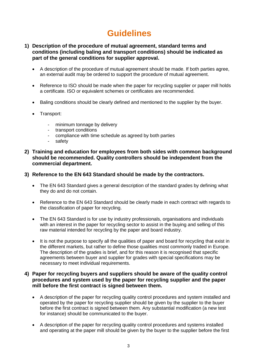# **Guidelines**

# **1) Description of the procedure of mutual agreement, standard terms and conditions (including baling and transport conditions) should be indicated as part of the general conditions for supplier approval.**

- A description of the procedure of mutual agreement should be made. If both parties agree, an external audit may be ordered to support the procedure of mutual agreement.
- Reference to ISO should be made when the paper for recycling supplier or paper mill holds a certificate. ISO or equivalent schemes or certificates are recommended.
- Baling conditions should be clearly defined and mentioned to the supplier by the buyer.
- Transport:
	- minimum tonnage by delivery
	- transport conditions
	- compliance with time schedule as agreed by both parties
	- safety

# **2) Training and education for employees from both sides with common background should be recommended. Quality controllers should be independent from the commercial department.**

#### **3) Reference to the EN 643 Standard should be made by the contractors.**

- The EN 643 Standard gives a general description of the standard grades by defining what they do and do not contain.
- Reference to the EN 643 Standard should be clearly made in each contract with regards to the classification of paper for recycling.
- The EN 643 Standard is for use by industry professionals, organisations and individuals with an interest in the paper for recycling sector to assist in the buying and selling of this raw material intended for recycling by the paper and board industry.
- It is not the purpose to specify all the qualities of paper and board for recycling that exist in the different markets, but rather to define those qualities most commonly traded in Europe. The description of the grades is brief, and for this reason it is recognised that specific agreements between buyer and supplier for grades with special specifications may be necessary to meet individual requirements.

# **4) Paper for recycling buyers and suppliers should be aware of the quality control procedures and system used by the paper for recycling supplier and the paper mill before the first contract is signed between them.**

- A description of the paper for recycling quality control procedures and system installed and operated by the paper for recycling supplier should be given by the supplier to the buyer before the first contract is signed between them. Any substantial modification (a new test for instance) should be communicated to the buyer.
- A description of the paper for recycling quality control procedures and systems installed and operating at the paper mill should be given by the buyer to the supplier before the first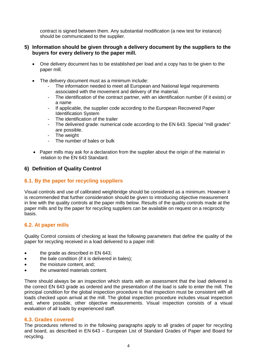contract is signed between them. Any substantial modification (a new test for instance) should be communicated to the supplier.

# **5) Information should be given through a delivery document by the suppliers to the buyers for every delivery to the paper mill.**

- One delivery document has to be established per load and a copy has to be given to the paper mill.
- The delivery document must as a minimum include:
	- The information needed to meet all European and National legal requirements associated with the movement and delivery of the material.
	- The identification of the contract partner, with an identification number (if it exists) or a name
	- If applicable, the supplier code according to the European Recovered Paper Identification System
	- The identification of the trailer
	- The delivered grade: numerical code according to the EN 643. Special "mill grades" are possible.
	- The weight
	- The number of bales or bulk
- Paper mills may ask for a declaration from the supplier about the origin of the material in relation to the EN 643 Standard.

# **6) Definition of Quality Control**

# **6.1. By the paper for recycling suppliers**

Visual controls and use of calibrated weighbridge should be considered as a minimum. However it is recommended that further consideration should be given to introducing objective measurement in line with the quality controls at the paper mills below. Results of the quality controls made at the paper mills and by the paper for recycling suppliers can be available on request on a reciprocity basis.

# **6.2. At paper mills**

Quality Control consists of checking at least the following parameters that define the quality of the paper for recycling received in a load delivered to a paper mill:

- the grade as described in EN 643;
- the bale condition (if it is delivered in bales);
- the moisture content, and;
- the unwanted materials content.

There should always be an inspection which starts with an assessment that the load delivered is the correct EN 643 grade as ordered and the presentation of the load is safe to enter the mill. The principal condition for the global inspection procedure is that inspection must be consistent with all loads checked upon arrival at the mill. The global inspection procedure includes visual inspection and, where possible, other objective measurements. Visual inspection consists of a visual evaluation of all loads by experienced staff.

#### **6.3. Grades covered**

The procedures referred to in the following paragraphs apply to all grades of paper for recycling and board, as described in EN 643 – European List of Standard Grades of Paper and Board for recycling.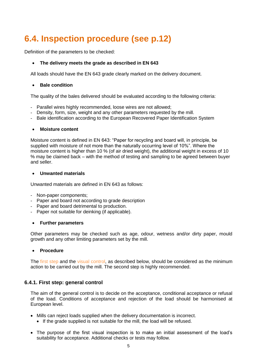# **6.4. Inspection procedure (see p.12)**

Definition of the parameters to be checked:

# **The delivery meets the grade as described in EN 643**

All loads should have the EN 643 grade clearly marked on the delivery document.

# **Bale condition**

The quality of the bales delivered should be evaluated according to the following criteria:

- Parallel wires highly recommended, loose wires are not allowed;
- Density, form, size, weight and any other parameters requested by the mill.
- Bale identification according to the European Recovered Paper Identification System

#### **Moisture content**

Moisture content is defined in EN 643: "Paper for recycling and board will, in principle, be supplied with moisture of not more than the naturally occurring level of 10%". Where the moisture content is higher than 10 % (of air dried weight), the additional weight in excess of 10 % may be claimed back – with the method of testing and sampling to be agreed between buyer and seller.

#### **Unwanted materials**

Unwanted materials are defined in EN 643 as follows:

- Non-paper components;
- Paper and board not according to grade description
- Paper and board detrimental to production.
- Paper not suitable for deinking (if applicable).

#### **Further parameters**

Other parameters may be checked such as age, odour, wetness and/or dirty paper, mould growth and any other limiting parameters set by the mill.

#### **Procedure**

The first step and the visual control, as described below, should be considered as the minimum action to be carried out by the mill. The second step is highly recommended.

# **6.4.1. First step: general control**

The aim of the general control is to decide on the acceptance, conditional acceptance or refusal of the load. Conditions of acceptance and rejection of the load should be harmonised at European level.

- Mills can reject loads supplied when the delivery documentation is incorrect.
	- If the grade supplied is not suitable for the mill, the load will be refused.
- The purpose of the first visual inspection is to make an initial assessment of the load's suitability for acceptance. Additional checks or tests may follow.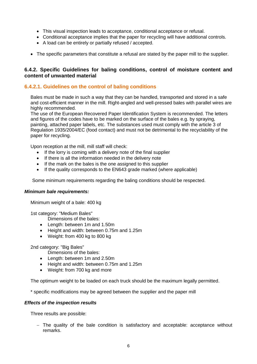- This visual inspection leads to acceptance, conditional acceptance or refusal.
- Conditional acceptance implies that the paper for recycling will have additional controls.
- A load can be entirely or partially refused / accepted.
- The specific parameters that constitute a refusal are stated by the paper mill to the supplier.

# **6.4.2. Specific Guidelines for baling conditions, control of moisture content and content of unwanted material**

# **6.4.2.1. Guidelines on the control of baling conditions**

Bales must be made in such a way that they can be handled, transported and stored in a safe and cost-efficient manner in the mill. Right-angled and well-pressed bales with parallel wires are highly recommended.

The use of the European Recovered Paper Identification System is recommended. The letters and figures of the codes have to be marked on the surface of the bales e.g. by spraying, painting, attached paper labels, etc. The substances used must comply with the article 3 of Regulation 1935/2004/EC (food contact) and must not be detrimental to the recyclability of the paper for recycling.

Upon reception at the mill, mill staff will check:

- If the lorry is coming with a delivery note of the final supplier
- If there is all the information needed in the delivery note
- If the mark on the bales is the one assigned to this supplier
- If the quality corresponds to the EN643 grade marked (where applicable)

Some minimum requirements regarding the baling conditions should be respected.

#### *Minimum bale requirements:*

Minimum weight of a bale: 400 kg

1st category: "Medium Bales"

- Dimensions of the bales:
- Length: between 1m and 1.50m
- Height and width: between 0.75m and 1.25m
- Weight: from 400 kg to 800 kg

2nd category: "Big Bales"

Dimensions of the bales:

- Length: between 1m and 2.50m
- Height and width: between 0.75m and 1.25m
- Weight: from 700 kg and more

The optimum weight to be loaded on each truck should be the maximum legally permitted.

\* specific modifications may be agreed between the supplier and the paper mill

#### *Effects of the inspection results*

Three results are possible:

 $-$  The quality of the bale condition is satisfactory and acceptable: acceptance without remarks.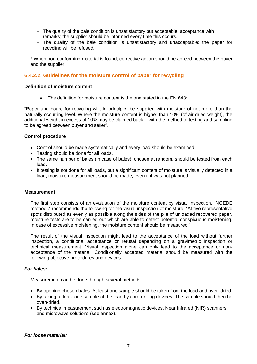- The quality of the bale condition is unsatisfactory but acceptable: acceptance with remarks; the supplier should be informed every time this occurs.
- $-$  The quality of the bale condition is unsatisfactory and unacceptable: the paper for recycling will be refused.

\* When non-conforming material is found, corrective action should be agreed between the buyer and the supplier.

# **6.4.2.2. Guidelines for the moisture control of paper for recycling**

#### **Definition of moisture content**

• The definition for moisture content is the one stated in the EN 643:

"Paper and board for recycling will, in principle, be supplied with moisture of not more than the naturally occurring level. Where the moisture content is higher than 10% (of air dried weight), the additional weight in excess of 10% may be claimed back – with the method of testing and sampling to be agreed between buyer and seller".

#### **Control procedure**

- Control should be made systematically and every load should be examined.
- Testing should be done for all loads.
- The same number of bales (in case of bales), chosen at random, should be tested from each load.
- If testing is not done for all loads, but a significant content of moisture is visually detected in a load, moisture measurement should be made, even if it was not planned.

#### **Measurement**

The first step consists of an evaluation of the moisture content by visual inspection. INGEDE method 7 recommends the following for the visual inspection of moisture: "At five representative spots distributed as evenly as possible along the sides of the pile of unloaded recovered paper, moisture tests are to be carried out which are able to detect potential conspicuous moistening. In case of excessive moistening, the moisture content should be measured."

The result of the visual inspection might lead to the acceptance of the load without further inspection, a conditional acceptance or refusal depending on a gravimetric inspection or technical measurement. Visual inspection alone can only lead to the acceptance or nonacceptance of the material. Conditionally accepted material should be measured with the following objective procedures and devices:

#### *For bales:*

Measurement can be done through several methods:

- By opening chosen bales. At least one sample should be taken from the load and oven-dried.
- By taking at least one sample of the load by core-drilling devices. The sample should then be oven-dried.
- By technical measurement such as electromagnetic devices, Near Infrared (NIR) scanners and microwave solutions (see annex).

#### *For loose material:*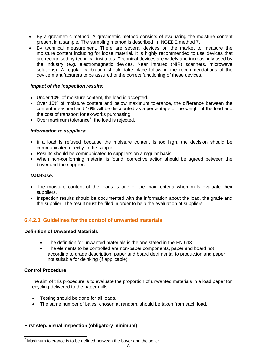- By a gravimetric method: A gravimetric method consists of evaluating the moisture content present in a sample. The sampling method is described in INGEDE method 7.
- By technical measurement. There are several devices on the market to measure the moisture content including for loose material. It is highly recommended to use devices that are recognised by technical institutes. Technical devices are widely and increasingly used by the industry (e.g. electromagnetic devices, Near Infrared (NIR) scanners, microwave solutions). A regular calibration should take place following the recommendations of the device manufacturers to be assured of the correct functioning of these devices.

#### *Impact of the inspection results:*

- Under 10% of moisture content, the load is accepted.
- Over 10% of moisture content and below maximum tolerance, the difference between the content measured and 10% will be discounted as a percentage of the weight of the load and the cost of transport for ex-works purchasing.
- Over maximum tolerance<sup>2</sup>, the load is rejected.

#### *Information to suppliers:*

- If a load is refused because the moisture content is too high, the decision should be communicated directly to the supplier.
- Results should be communicated to suppliers on a regular basis.
- When non-conforming material is found, corrective action should be agreed between the buyer and the supplier.

#### *Database:*

- The moisture content of the loads is one of the main criteria when mills evaluate their suppliers.
- Inspection results should be documented with the information about the load, the grade and the supplier. The result must be filed in order to help the evaluation of suppliers.

# **6.4.2.3. Guidelines for the control of unwanted materials**

#### **Definition of Unwanted Materials**

- The definition for unwanted materials is the one stated in the EN 643
- The elements to be controlled are non-paper components, paper and board not according to grade description, paper and board detrimental to production and paper not suitable for deinking (if applicable).

#### **Control Procedure**

-

The aim of this procedure is to evaluate the proportion of unwanted materials in a load paper for recycling delivered to the paper mills.

- Testing should be done for all loads.
- The same number of bales, chosen at random, should be taken from each load.

#### **First step: visual inspection (obligatory minimum)**

 $2$  Maximum tolerance is to be defined between the buyer and the seller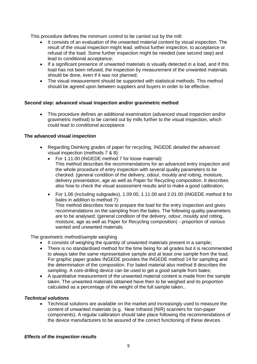This procedure defines the minimum control to be carried out by the mill:

- It consists of an evaluation of the unwanted material content by visual inspection. The result of the visual inspection might lead, without further inspection, to acceptance or refusal of the load. Some further inspection might be needed (see second step) and lead to conditional acceptance;
- If a significant presence of unwanted materials is visually detected in a load, and if this load has not been refused, the inspection by measurement of the unwanted materials should be done, even if it was not planned;
- The visual measurement should be supported with statistical methods. This method should be agreed upon between suppliers and buyers in order to be effective.

# **Second step: advanced visual inspection and/or gravimetric method**

 This procedure defines an additional examination (advanced visual inspection and/or gravimetric method) to be carried out by mills further to the visual inspection, which could lead to conditional acceptance.

# **The advanced visual inspection**

- Regarding Deinking grades of paper for recycling, INGEDE detailed the advanced visual inspection (methods 7 & 8):
	- For 1.11.00 (INGEDE method 7 for loose material): This method describes the recommendations for an advanced entry inspection and the whole procedure of entry inspection with several quality parameters to be checked: (general condition of the delivery, odour, mouldy and rotting, moisture, delivery presentation, age as well as Paper for Recycling composition. It describes also how to check the visual assessment results and to make a good calibration;
	- For 1.06 (including subgrades), 1.09.00, 1.11.00 and 2.01.00 (INGEDE method 8 for bales in addition to method 7): This method describes how to prepare the load for the entry inspection and gives recommendations on the sampling from the bales. The following quality parameters are to be analysed; (general condition of the delivery, odour, mouldy and rotting, moisture, age as well as Paper for Recycling composition) - proportion of various wanted and unwanted materials.

The gravimetric method/sample weighing

- It consists of weighing the quantity of unwanted materials present in a sample;
- There is no standardised method for the time being for all grades but it is recommended to always take the same representative sample and at least one sample from the load. For graphic paper grades INGEDE provides the INGEDE method 14 for sampling and the determination of the composition. For baled material also method 8 describes the sampling. A core-drilling device can be used to get a good sample from bales;
- A quantitative measurement of the unwanted material content is made from the sample taken. The unwanted materials obtained have then to be weighed and its proportion calculated as a percentage of the weight of the full sample taken..

#### *Technical solutions*

 Technical solutions are available on the market and increasingly used to measure the content of unwanted materials (e.g. Near Infrared (NIR) scanners for non-paper components). A regular calibration should take place following the recommendations of the device manufacturers to be assured of the correct functioning of these devices.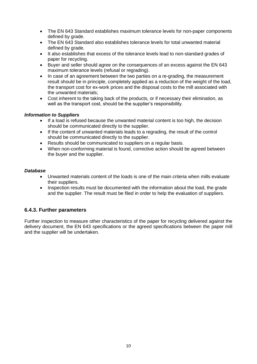- The EN 643 Standard establishes maximum tolerance levels for non-paper components defined by grade.
- The EN 643 Standard also establishes tolerance levels for total unwanted material defined by grade.
- It also establishes that excess of the tolerance levels lead to non-standard grades of paper for recycling.
- Buyer and seller should agree on the consequences of an excess against the EN 643 maximum tolerance levels (refusal or regrading).
- In case of an agreement between the two parties on a re-grading, the measurement result should be in principle, completely applied as a reduction of the weight of the load, the transport cost for ex-work prices and the disposal costs to the mill associated with the unwanted materials;
- Cost inherent to the taking back of the products, or if necessary their elimination, as well as the transport cost, should be the supplier's responsibility.

#### *Information to Suppliers*

- If a load is refused because the unwanted material content is too high, the decision should be communicated directly to the supplier.
- If the content of unwanted materials leads to a regrading, the result of the control should be communicated directly to the supplier.
- Results should be communicated to suppliers on a regular basis.
- When non-conforming material is found, corrective action should be agreed between the buyer and the supplier.

# *Database*

- Unwanted materials content of the loads is one of the main criteria when mills evaluate their suppliers.
- Inspection results must be documented with the information about the load, the grade and the supplier. The result must be filed in order to help the evaluation of suppliers.

# **6.4.3. Further parameters**

Further inspection to measure other characteristics of the paper for recycling delivered against the delivery document, the EN 643 specifications or the agreed specifications between the paper mill and the supplier will be undertaken.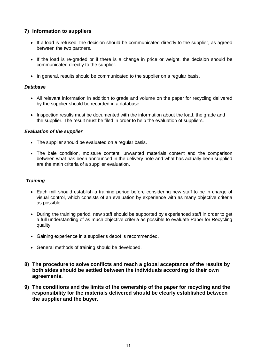# **7) Information to suppliers**

- If a load is refused, the decision should be communicated directly to the supplier, as agreed between the two partners.
- If the load is re-graded or if there is a change in price or weight, the decision should be communicated directly to the supplier.
- In general, results should be communicated to the supplier on a regular basis.

### *Database*

- All relevant information in addition to grade and volume on the paper for recycling delivered by the supplier should be recorded in a database.
- Inspection results must be documented with the information about the load, the grade and the supplier. The result must be filed in order to help the evaluation of suppliers.

#### *Evaluation of the supplier*

- The supplier should be evaluated on a regular basis.
- The bale condition, moisture content, unwanted materials content and the comparison between what has been announced in the delivery note and what has actually been supplied are the main criteria of a supplier evaluation.

# *Training*

- Each mill should establish a training period before considering new staff to be in charge of visual control, which consists of an evaluation by experience with as many objective criteria as possible.
- During the training period, new staff should be supported by experienced staff in order to get a full understanding of as much objective criteria as possible to evaluate Paper for Recycling quality.
- Gaining experience in a supplier's depot is recommended.
- General methods of training should be developed.
- **8) The procedure to solve conflicts and reach a global acceptance of the results by both sides should be settled between the individuals according to their own agreements.**
- **9) The conditions and the limits of the ownership of the paper for recycling and the responsibility for the materials delivered should be clearly established between the supplier and the buyer.**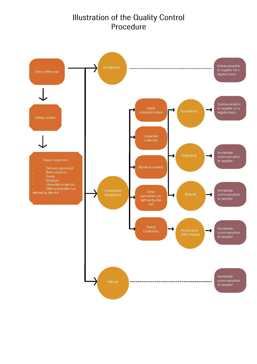# **Illustration of the Quality Control** Procedure

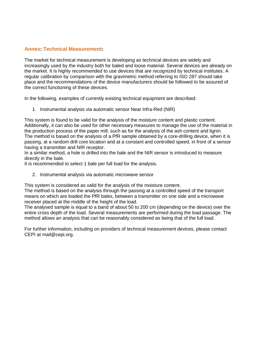# **Annex: Technical Measurement:**

The market for technical measurement is developing as technical devices are widely and increasingly used by the industry both for baled and loose material. Several devices are already on the market. It is highly recommended to use devices that are recognized by technical institutes. A regular calibration by comparison with the gravimetric method referring to ISO 287 should take place and the recommendations of the device manufacturers should be followed to be assured of the correct functioning of these devices.

In the following, examples of currently existing technical equipment are described:

1. Instrumental analysis via automatic sensor Near Infra-Red (NIR)

This system is found to be valid for the analysis of the moisture content and plastic content. Additionally, it can also be used for other necessary measures to manage the use of the material in the production process of the paper mill, such as for the analysis of the ash content and lignin. The method is based on the analysis of a PfR sample obtained by a core-drilling device, when it is passing, at a random drill core location and at a constant and controlled speed, in front of a sensor having a transmitter and NIR receptor.

In a similar method, a hole is drilled into the bale and the NIR sensor is introduced to measure directly in the bale.

It is recommended to select 1 bale per full load for the analysis.

2. Instrumental analysis via automatic microwave sensor

This system is considered as valid for the analysis of the moisture content.

The method is based on the analysis through the passing at a controlled speed of the transport means on which are loaded the PfR bales, between a transmitter on one side and a microwave receiver placed at the middle of the height of the load.

The analysed sample is equal to a band of about 50 to 200 cm (depending on the device) over the entire cross depth of the load. Several measurements are performed during the load passage. The method allows an analysis that can be reasonably considered as being that of the full load.

For further information, including on providers of technical measurement devices, please contact CEPI at mail@cepi.org.